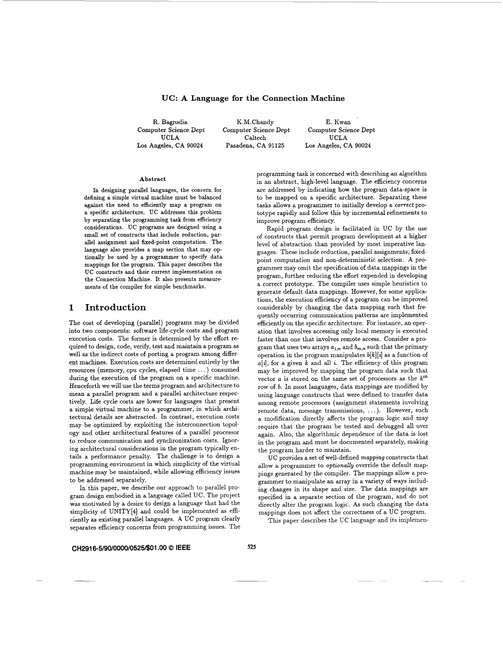## **UC: A Language for the Connection Machine**

R. Bagrodia  $K.M.$ Chandy E. Kwan<br>Computer Science Dept Computer Science Dept Computer Science Dept Los Angeles, CA **90024** Pasadena, CA **91125 Los** Angeles, CA **90024** 

Computer Science Dept Computer Science Dept Computer Science Dept UCLA Caltech UCLA

#### Abstract

In designing parallel languages, the concern for defining a simple virtual machine must be balanced against the need to efficiently map a program on a specific architecture. UC addresses this problem by separating the programming task from efficiency considerations. UC programs are designed using a small set of constructs that include reduction, parallel assignment and fixed-point computation. The language also provides a map section that may optionally be used by a programmer to specify data mappings for the program. This paper describes the UC constructs and their current implementation on the Connection Machine. It also presents measurements of the compiler for simple benchmarks.

## **1 Introduction**

The cost of developing (parallel) programs may be divided into two components: software life-cycle costs and program execution costs. The former is determined by the effort required to design, code, verify, test and maintain a program as well **as** the indirect costs of porting a program among different machines. Execution costs are determined entirely by the resources (memory, cpu cycles, elapsed time ...) consumed during the execution of the program on a specific machine. Henceforth we will use the terms program and architecture to mean a parallel program and a parallel architecture respectively. Life cycle costs are lower for languages that present a simple virtual machine to a programmer, in which architectural details are abstracted. In contrast, execution costs may be optimized by exploiting the interconnection topology and other architectural features of a parallel processor to reduce communication and synchronization costs. Ignoring architectural considerations in the program typically entails a performance penalty. The challenge is to design a programming environment in which simplicity of the virtual machine may be maintained, while allowing efficiency issues to be addressed separately.

In this paper, we describe our approach to parallel program design embodied in a language called *UC.* The project was motivated by a desire to design a language that had the simplicity of *UNITY[4]* and could be implemented as efficiently **as** existing parallel languages. **A** *UC* program clearly separates efficiency concerns from programming issues. The programming task is concerned with describing an algorithm in an abstract, high-level language. The efficiency concerns are addressed by indicating how the program data-space is to be mapped on a specific architecture. Separating these tasks allows a programmer to initially develop a *correct* prototype rapidly and follow this by incremental refinements to improve program efficiency.

Rapid program design is facilitated in UC by the use of constructs that permit program development at a higher level of abstraction than provided by most imperative languages. These include reduction, parallel assignments, fixedpoint computation and non-deterministic selection. **A** programmer may omit the specification of data mappings in the program, further reducing the effort expended in developing a correct prototype. The compiler uses simple heuristics to generate default data mappings. However, for some applications, the execution efficiency of a program can be improved considerably by changing the data mapping such that frequently occurring communication patterns are implemented efficiently on the specific architecture. For instance, an operation that involves accessing only local memory is executed faster than one that involves remote access. Consider a program that uses two arrays  $a_{1,n}$  and  $b_{m,n}$  such that the primary operation in the program manipulates *b[k][i]* **as** a function of *a[4,* for a given *k* and all *i.* The efficiency of this program may be improved by mapping the program data such that vector  $a$  is stored on the same set of processors as the  $k^{th}$ row of *b.* In most languages, data mappings are modified by using language constructs that were defined to transfer data among remote processors (assignment statements involving remote data, message transmissions, . . . ). However, such a modification directly affects the program logic and may require that the program be tested and debugged all over again. Also, the algorithmic dependence of the data is lost in the program and must be documented separately, making the program harder to maintain.

UC provides a set of well-defined *mapping* constructs that allow a programmer to *optionally* override the default mappings generated by the compiler. The mappings allow a programmer to manipulate an array in a variety of ways including changes in its shape and size. The data mappings are specified in a separate section of the program, and do not directly alter the program logic. **As** such changing the data mappings does not affect the correctness of a *UC* program.

This paper describes the *UC* language and its implemen-

### **CH2916-5/90/0000/0525~01.00** *0* **IEEE**

**525**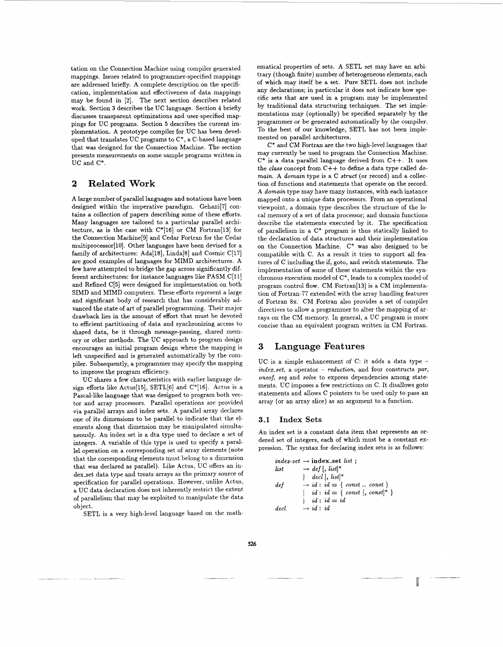tation on the Connection Machine using compiler generated mappings. Issues related to programmer-specified mappings are addressed briefly. A complete description on the specification, implementation and effectiveness of data mappings may be found in [2]. The next section describes related work. Section 3 describes the UC language. Section **4** briefly discusses transparent optimizations and user-specified mappings for UC programs. Section *5* describes the current implementation. **A** prototype compiler for UC has been developed that translates UC programs to C\*, a C-based language that was designed for the Connection Machine. The section presents measurements on some sample programs written in UC and C\*.

# **2 Related Work**

**A** large number of parallel languages and notations have been designed within the imperative paradigm. Gehani[7] contains a collection of papers describing some of these efforts. Many langupges are tailored to a particular parallel architecture, **as** is the case with C\*[16] or CM Fortran[l3] for the Connection Machine[S] and Cedar Fortran for the Cedar multiprocessor[lO]. Other languages have been devised for a family of architectures: Ada[l8], Linda[8] and Cosmic C[17] are good examples of languages for MIMD architectures. A few have attempted to bridge the gap across significantly different architectures: for instance languages like PASM C[11] and Refined C[5] were designed for implementation on both SIMD and MIMD computers. These efforts represent a large and significant body of research that has considerably advanced the state of art of parallel programming. Their major drawback lies in the amount of effort that must be devoted to efficient partitioning of data and synchronizing access to shared data, be it through message-passing, shared memory or other methods. The UC approach to program design encourages **an** initial program design where the mapping is left unspecified and is generated automatically by the compiler. Subsequently, a programmer may specify the mapping to improve the program efficiency.

UC shares a few characteristics with earlier language design efforts like Actus[lS], SETL[6] and C\*[16]. Actus is a Pascal-like language that was designed to program both vector and array processors. Parallel operations are provided via parallel arrays and index sets. A parallel array declares one of its dimensions to be parallel to indicate that the elements along that dimension may be manipulated simultaneously. An index set is a dta type used to declare a set of integers. **A** variable of this type is used to specify a parallel operation on a corresponding set of array elements (note that the corresponding elements must belong to a dimension that was declared as parallel). Like Actus, UC offers an index set data type and treats arrays as the primary source of specification for parallel operations. However, unlike Actus, a UC data declaration does not inherently restrict the extent of parallelism that may be exploited to manipulate the data object.

SETL is a very high-level language based on the math-

ematical properties of sets. A SETL set may have an arbitrary (though finite) number of heterogeneous elements, each of which may itself be a set. Pure SETL does not include any declarations; in particular it does not indicate how specific sets that are used in a program may be implemented by traditional data structuring techniques. The set implementations may (optionally) be specified separately by the programmer or be generated automatically by the compiler. To the best of our knowledge, SETL has not been implemented on parallel architectures.

C\* and CM Fortran are the two high-level languages that may currently be used to program the Connection Machine.  $C^*$  is a data parallel language derived from  $C++$ . It uses the *class* concept from C++ to define a data type called *domain.* A *domain* type is a C *struct* (or record) and a collection of functions and statements that operate on the record. A *domain* type may have many instances, with each instance mapped onto a unique data processors. From an operational viewpoint, a domain type describes the structure of the local memory of a set of data processor; and domain functions describe the statements executed by it. The specification of parallelism in a C\* program is thus statically linked to the declaration of data structures and their implementation on the Connection Machine. C\* was also designed to be compatible with C. As a result it tries to support all features of C including the if, goto, and switch statements. The implementation of some of these statements within the synchronous execution model of c\*, leads to a complex model of program control flow. CM Fortran[l3] is a CM implementation of Fortran-77 extended with the array handling features of Fortran 8x. CM Fortran also provides a set of compiler directives to allow a programmer to alter the mapping of arrays on the CM memory. In general, a UC program is more concise than an equivalent program written in CM Fortran.

# **3 Language Features**

UC is a simple enhancement of C: it adds a data type *index-set,* a operator - *reduction,* and four constructs *par, oneof, seq* and *solve* to express dependencies among statements. UC imposes a few restrictions on C. It disallows goto statements and allows C pointers to be used only to pass an array (or an array slice) as an argument to a function.

## **3.1 Index Sets**

An index set is a constant data item that represents an ordered set of integers, each of which must be a constant expression. The syntax for declaring index sets is as follows:

I

$$
\begin{array}{ll} \mathit{index-set} \rightarrow \mathit{index\_set} \; \mathit{list} \; \; ; \\ \mathit{list} \; \; \; \rightarrow \; \mathit{def} \; | \; \; \mathit{list}]^* \\ \; \; \; | \; \; \mathit{dec} \; | \; \; \mathit{list}]^* \\ \mathit{def} \; \; \; \; \rightarrow \; id \; : \; id = \{ \; \mathit{const} \; .. \; \mathit{const} \} \\ \; \; | \; \; \; id \; : \; id = \{ \; \mathit{const} \; | \; \mathit{const} |^* \; \} \\ \; \; \; \; id \; : \; id = \; id \\ \mathit{decl} \; \; \; \rightarrow \; id \; : \; id \end{array}
$$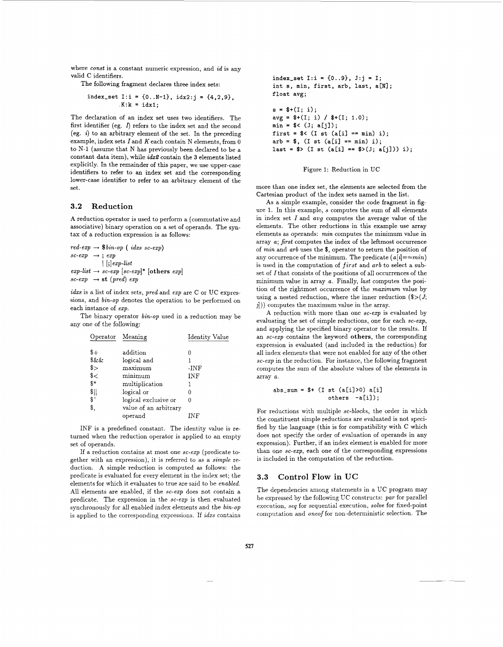where *const* is a constant numeric expression, and *id* is any valid C identifiers.

The following fragment declares three index sets:

index\_set I:i = {0..N-1}, 
$$
idx2:j = {4,2,9},
$$
  
.K:k = idx1;

The declaration of an index set uses two identifiers. The first identifier (eg.  $\Lambda$ ) refers to the index set and the second (eg. *i)* to an arbitrary element of the set. In the preceding example, index sets Iand *K* each contain N elements, from 0 to N-1 (assume that N has previously been declared to be a constant data item), while *ids2* contain the **3** elements listed explicitly. In the remainder of this paper, we use upper-case identifiers to refer to an index set and the corresponding lower-case identifier to refer to an arbitrary element of the set.

### **3.2 Reduction**

**A** reduction operator is used to perform a (commutative and associative) binary operation on a set of operands. The syntax of a reduction expression is as follows:

 $red\text{-}exp \rightarrow $bin\text{-}op \text{ } (idxs\text{ }sc\text{-}exp)$  $\begin{array}{ccc} \textit{sc-exp} & \rightarrow & \textit{; } \textit{exp} \end{array}$ 1 [;] *exp-list*   $exp-list \rightarrow sc-exp$   $[sc-exp]^*$  [others  $exp$ ]  $sc\text{-}exp$   $\rightarrow$  **st**  $(pred)$ *exp* 

*idxs* is a list of index sets, *pred* and *exp* are C or UC expressions, and *bin-op* denotes the operation to be performed on each instance of *exp.* 

The binary operator *bin-op* used in a reduction may be any one of the following:

| $st \rightarrow sc\text{-}exp$ $ sc\text{-}exp $ [others $exp$ ]<br>$p \rightarrow st \ (pred) \ exp$                                                                                                                                      |                       |                |
|--------------------------------------------------------------------------------------------------------------------------------------------------------------------------------------------------------------------------------------------|-----------------------|----------------|
| is a list of index sets, $pred$ and $exp$ are C or UC $\exp$<br>and bin-op denotes the operation to be performed<br>$\frac{1}{2}$ instance of $\exp$ .<br>he binary operator <i>bin-op</i> used in a reduction may<br>ne of the following: |                       |                |
| Operator Meaning                                                                                                                                                                                                                           |                       | Identity Value |
|                                                                                                                                                                                                                                            | addition              | 0              |
| $\frac{8}{x}$                                                                                                                                                                                                                              | logical and           | 1              |
| \$>                                                                                                                                                                                                                                        | maximum               | -INF           |
| \$<                                                                                                                                                                                                                                        | minimum               | INF            |
| \$*                                                                                                                                                                                                                                        | multiplication        | 1              |
| $\frac{1}{2}$                                                                                                                                                                                                                              | logical or            | 0              |
| \$^                                                                                                                                                                                                                                        | logical exclusive or  | O              |
| \$,                                                                                                                                                                                                                                        | value of an arbitrary |                |
|                                                                                                                                                                                                                                            | operand               | INF            |
|                                                                                                                                                                                                                                            |                       |                |

INF is a predefined constant. The identity value is returned when the reduction operator is applied to an empty set of operands.

If a reduction contains at most one *sc-exp* (predicate together with an expression), it is referred to as a *simple* reduction. A simple reduction is computed as follows: the predicate is evaluated for every element in the index set; the elements for which it evaluates to true are said to be *enabled.*  All elements are enabled, if the *se-exp* does not contain a predicate. The expression in the *sc-ezp* is then evaluated synchronously for all enabled index elements and the *bin-op*  is applied to the corresponding expressions. If *idxs* contains

index\_set  $I:i = {0..9}, J:i = 1;$ int **s**, min, first, arb, last, a[N]; float avg;  $s = $+(1; i);$  $avg = $+(I; i) / $+(I; 1.0);$  $min = $<(J; a[i])$ : first =  $\sqrt[6]{(I \ s t (a[i] == min) i)}$ ;  $arb = $, (I st (a[i] == min) i);$ last =  $\sqrt[6]{1}$  st (a[i] ==  $\sqrt[6]{3}$  (3[i])) i);

### Figure 1: Reduction in UC

more than one index set, the elements are selected from the Cartesian product of the index sets named in the list.

As a simple example, consider the code fragment in figure 1. In this example, s computes the sum of all elements in index set *I* and avg computes the average value of the elements. The other reductions in this example use array elements as operands: *min* computes the minimum value in array *a; first* computes the index of the leftmost occurrence of *min* and *arb* uses the \$, operator to return the position of any occurrence of the minimum. The predicate *(a[i]==min)*  is used in the computation of *first* and *arb* to select a subset of Ithat consists of the positions of all occurrences of the minimum value in array *a.* Finally, *last* computes the position of the rightmost occurrence of the *maximum* value by using a nested reduction, where the inner reduction *(\$>(J;*   $j$ )) computes the maximum value in the array.

A reduction with more than one *sc-exp* is evaluated by evaluating the set of simple reductions, one for each *se-exp,*  and applying the specified binary operator to the results. If an *se-exp* contains the keyword **others,** the corresponding expression is evaluated (and included in the reduction) for all index elements that were not enabled for any of the other *se-exp* in the reduction. For instance, the following fragment computes the sum of the absolute values of the elements in array *a.* 

$$
abs\_sum = $ + (I st (a[i])0) a[i]
$$
  
others -a[i]);

For reductions with multiple *se-blocks,* the order in which the constituent simple reductions are evaluated is not specified by the language (this is for compatibility with C which does not specify the order of evaluation of operands in any expression). Further, if an index element is enabled for more than one *se-exp,* each one of the corresponding expressions is included in the computation of the reduction.

## **3.3 Control Flow in UC**

The dependencies among statements in a UC program may be expressed by the following UC constructs: *par* for parallel execution, seg for sequential execution, *solve* for fixed-point computation and *oneoffor* non-deterministic selection. The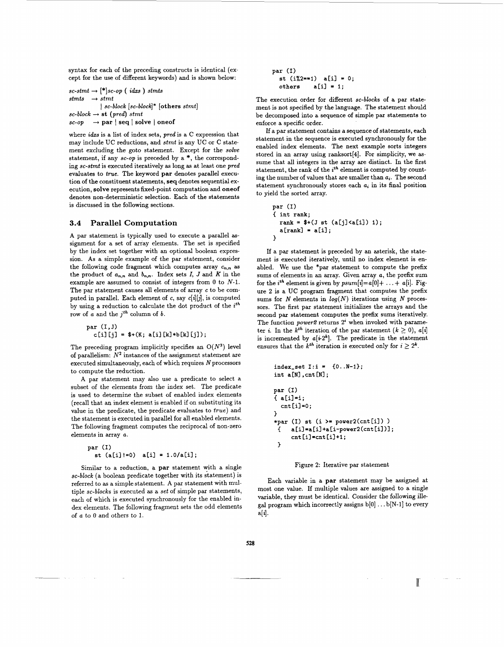syntax for each of the preceding constructs is identical (except for the use of different keywords) and is shown below:

 $sc\text{-}stmt \rightarrow [*]sc\text{-}op (idxs)stmts$ stmts  $\rightarrow$  stmt  $sc\text{-}block \rightarrow \text{st } (pred) \text{ }stm$  $\textit{sc-op}$   $\rightarrow$  **par**  $\vert$  **seq**  $\vert$  **solve**  $\vert$  **oneof** <sup>1</sup>*sc-block [sc-block]\** **[others** stmt]

where *idxs* is a list of index sets, *pred* is a C expression that may include UC reductions, and stmt is any UC or C statement excluding the goto statement. Except for the *solve*  statement, if any *sc-op* is preceded by a \*, the corresponding sc-stmt is executed iteratively **as** long **as** at least one *pred*  evaluates to *true.* The keyword **par** denotes parallel execution of the constituent statements, seq denotes sequential execution, **solve** represents fixed-point computation and oneof denotes non-deterministic selection. Each of the statements is discussed in the following sections.

## **3.4 Parallel Computation**

**A** par statement is typically used to execute a parallel **as**signment for a set of array elements. The set is specified by the index set together with an optional boolean expression. **As** a simple example of the par statement, consider the following code fragment which computes array  $c_{n,n}$  as the product of  $a_{n,n}$  and  $b_{n,n}$ . Index sets *I*, *J* and *K* in the example are assumed to consist of integers from 0 to *N-1.*  The par statement causes all elements of array *c* to be computed in parallel. Each element of *c,* say *c[db],* is computed by using a reduction to calculate the dot product of the *zth*  row of *a* and the *jth* column of *b.* 

par $(I, J)$  $c[i][j] =$  \$+(K; a[i][k]\*b[k][j]);

The preceding program implicitly specifies an *O(N3)* level of parallelism:  $N^2$  instances of the assignment statement are executed simultaneously, each of which requires  $N$  processors to compute the reduction.

**A** par statement may also use a predicate to select a subset of the elements from the index set. The predicate is used to determine the subset of enabled index elements (recall that **an** index element is enabled if on substituting its value in the predicate, the predicate evaluates to true) and the statement is executed in parallel for all enabled elements. The following fragment computes the reciprocal of non-zero elements in array *a.* 

```
par (I) 
  st (a[il!=O) a[i] = l.o/a[il;
```
Similar to a reduction, a **par** statement with a single *sc-block* (a boolean predicate together with its statement) is referred to **as** a simple statement. **A** par statement with multiple *sc-blocks* is executed **as** a *set* of simple par statements, each of which is executed synchronously for the enabled index elements, The following fragment sets the odd elements of *a* to 0 and others to 1.

**par (I) st (i%2==1) a[il** = **0; others a[i]** = **1;** 

The execution order for different *sc-blocks* of a par statement is not specified by the language. The statement should be decomposed into a sequence of simple par statements to enforce a specific order.

If a par statement contains a sequence of statements, each statement in the sequence is executed synchronously for the enabled index elements. The next example sorts integers stored in **an** array using ranksort(41. For simplicity, we **as**sume that all integers in the array are distinct. In the first statement, the rank of the *ith* element is computed by counting the number of values that are smaller than *ai.* The second statement synchronously stores each *a;* in its final position to yield the sorted array.

```
par (I) 
{ int rank; 
  rank = $+(J st (a[j] < a[i]) 1);a[rankl = a[il; 
1
```
If a par statement is preceded by an asterisk, the statement is executed iteratively, until no index element is enabled. We use the \*par statement to compute the prefix sums of elements in an array. Given array *a,* the prefix sum for the *i*<sup>th</sup> element is given by  $psum[i]=a[0]+ \ldots + a[i]$ . Figure *2* is a UC program fragment that computes the prefix sums for *N* elements in *log(N)* iterations using *N* processors. The first par statement initializes the arrays and the second par statement computes the prefix sums iteratively. The function *power2* returns *2'* when invoked with parameter *i*. In the  $k^{th}$  iteration of the par statement  $(k \geq 0)$ ,  $a[i]$ is incremented by  $a[i\cdot 2^k]$ . The predicate in the statement ensures that the  $k^{th}$  iteration is executed only for  $i \geq 2^{k}$ .

```
index_set I:i = {0..N-1};int a [NI , cnt [NI ; 
par (I) 
{ a[i]=i; 
1 
*par (I) st (i >= power2(cnt [il ) ) 
 cnt[il=o; 
 { a[i]=a[il+a[i-power2(cnt[il)l; 
 > cnt Cil =cnt Cil+1;
```
### Figure *2:* Iterative par statement

Each variable in a **par** statement may be assigned at most one value. If multiple values are assigned to a single variable, they must be identical. Consider the following illegal program which incorrectly assigns  $b[0] \ldots b[N-1]$  to every  $a[i].$ 

I.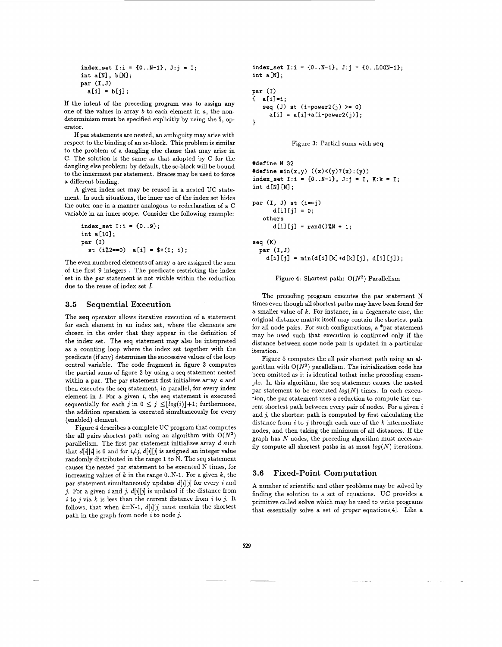**index\_set I:i =**  $\{0..N-1\}$ **, J:j = I; int a[N], b[Nl; par (1.J)**   $a[i] = b[i];$ 

If the intent of the preceding program was to assign any one of the values in array *b* to each element in *a,* the nondeterminism must be specified explicitly by using the \$, operator.

If par statements are nested, an ambiguity may arise with respect to the binding of an sc-block. This problem is similar to the problem of a dangling else clause that may arise in C. The solution is the same **as** that adopted by C for the dangling else problem: by default, the sc-block will be bound to the innermost par statement. Braces may be used to force a different binding.

**A** given index set may be reused in a nested UC statement. In such situations, the inner use of the index set hides the outer one in a manner analogous to redeclaration of a C variable in an inner scope. Consider the following example:

 $index_set I: i = {0..9};$ **int aC101; par (1)**   $st$  (i%2==0) a[i] =  $*(1; i);$ 

The even numbered elements of array *a* are assigned the sum of the first **9** integers . The predicate restricting the index set in the *par* statement is not visible within the reduction due to the reuse of index set *I.* 

### **3.5 Sequential Execution**

The **seq** operator allows iterative execution of a statement for each element in an index set, where the elements are chosen in the order that they appear in the definition of the index set. The seq statement may also be interpreted as a counting loop where the index set together with the predicate (if any) determines the successive values of the loop control variable. The code fragment in figure **3** computes the partial sums of figure **2** by using a seq statement nested within a par. The par statement first initializes array *a* and then executes the seq statement, in parallel, for every index element in *I.* For a given *i,* the seq statement is executed sequentially for each j in  $0 \leq j \leq \lfloor log(i) \rfloor + 1$ ; furthermore, the addition operation is executed simultaneously for every (enabled) element.

Figure 4 describes a complete UC program that computes the all pairs shortest path using an algorithm with  $O(N^2)$ parallelism. The first par statement initializes array d such that  $d[i][i]$  is 0 and for  $i \neq j$ ,  $d[i][j]$  is assigned an integer value randomly distributed in the range **1** to N. The seq statement causes the nested par statement to be executed N times, for increasing values of *k* in the range O..N-1. For a given *k,* the par statement simultaneously updates *d[i][j]* for every *i* and j. For a given  $i$  and  $j$ ,  $d[i][j]$  is updated if the distance from *i* to *j* via *k* is less than the current distance from *i* to *j*. It follows, that when  $k=N-1$ ,  $d[i][j]$  must contain the shortest path in the graph from node *i* to node *j.* 

 $index_set I: i = {0..N-1}, J: i = {0..L0GN-1};$ **int a[Nl** ;

**par (1)**  { **a[il=i; seq (J) st (i-powerz(j)** >= **0)**   $a[i] = a[i]+a[i-power2(j)];$ }

Figure **3:** Partial sums with seq

```
#define N 32
#define min(x,y) ((x) < (y) ? (x) : (y))index-set 1:i 
= {O..N-11, J:j = I, K:k = I; 
int d[Nl [NI ; 
par (I, J) st 
(i==j) 
       dCi1 Cjl 
= 0; 
   others 
       dCil Cjl 
= rand()%N + 1; 
seq(K)
```
par $(I, J)$  $d[i][j] = min(d[i][k] + d[k][j], d[i][j])$ ;

Figure **4:** Shortest path: *O(N2)* Parallelism

The preceding program executes the par statement N times even though all shortest paths may have been found for a smaller value of *k*. For instance, in a degenerate case, the original distance matrix itself may contain the shortest path for all node pairs. For such configurations, a \*par statement may be used such that execution is continued only if the distance between some node pair is updated in a particular iteration.

Figure *5* computes the all pair shortest path using an algorithm with  $O(N^3)$  parallelism. The initialization code has been omitted as it is identical tothat inthe preceding example. In this algorithm, the seq statement causes the nested par statement to be executed  $log(N)$  times. In each execution, the par statement uses a reduction to compute the current shortest path between every pair of nodes. For a given *<sup>i</sup>* and *j,* the shortest path is computed by first calculating the distance from *i* to j through each one of the *k* intermediate nodes, and then taking the minimum of all distances. If the graph has *N* nodes, the preceding algorithm must necessarily compute all shortest paths in at most  $log(N)$  iterations.

### **3.6 Fixed-point Computation**

**A** number of scientific and other problems may be solved by finding the solution to a set of equations. UC provides a primitive called **solve** which may be used to write programs that essentially solve a set of *proper* equations[4]. Like a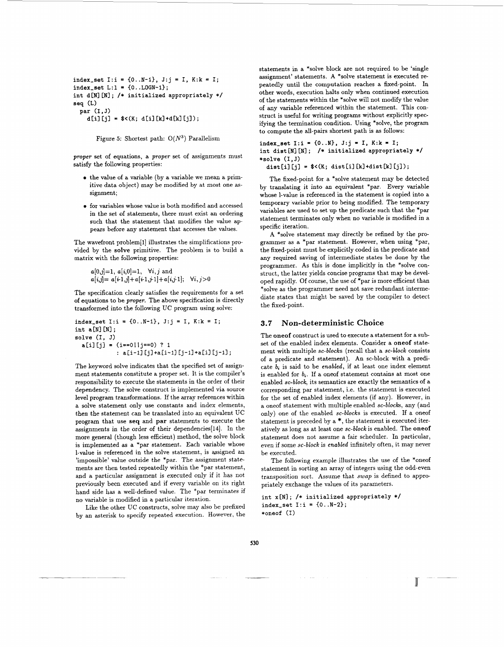```
index_set I:i = {0..N-1}, J:j = I, K:k = I;
index_set L:1 = {0...LOGN-1};int d[N] [N]; /* initialized appropriately */seq (L) 
 par (1,J) 
    d[i][j] = $ < (K; d[i] [k] + d[k][j]);
```
Figure *5:* Shortest path: *O(N3)* Parallelism

*proper* set of equations, a *proper* set of assignments must satisfy the following properties:

- *0* the value of a variable (by a variable we mean a primitive data object) may be modified by at most one **as**signment;
- *0* for variables whose value is both modified and accessed in the set of statements, there must exist an ordering such that the statement that modifies the value appears before any statement that accesses the values.

The wavefront problem[l] illustrates the simplifications provided by the **solve** primitive. The problem is to build a matrix with the following properties:

$$
a[0,j]=1, a[i,0]=1, \forall i, j \text{ and}
$$
  
 $a[i,j]=a[i\cdot 1,j]+a[i\cdot 1,j\cdot 1]+a[i,j\cdot 1]; \forall i, j>0$ 

The specification clearly satisfies the requirements for a set of equations to be *proper.* The above specification is directly transformed into the following UC program using solve:

```
index_set I: i = \{0..N-1\}, J:j = I, K: k = I;
int a[N][N];
solve (I, J) 
  a[il [jl = (i==ol Ij==o) ? 1
            : a[i-1][j]+a[i-1][j-1]+a[i][j-1];
```
The keyword solve indicates that the specified set of assignment statements constitute a proper set. It is the compiler's responsibility to execute the statements in the order of their dependency. The solve construct is implemented via source level program transformations. If the array references within a solve statement only use constants and index elements, then the statement can be translated into an equivalent UC program that **use seq** and **par** statements to execute the assignments in the order of their dependencies[l4]. In the more general (though less efficient) method, the solve block is implemented as a \*par statement. Each variable whose 1-value is referenced in the solve statement, is assigned an 'impossible' value outside the \*par. The assignment statements are then tested repeatedly within the \*par statement, and a particular assignment is executed only if it has not previously been executed and if every variable on its right hand side has a well-defined value. The \*par terminates if no variable is modified in a particular iteration.

Like the other UC constructs, solve may also be prefixed by an asterisk to specify repeated execution. However, the

statements in a \*solve block are not required to be 'single assignment' statements. **A** \*solve statement is executed repeatedly until the computation reaches a fixed-point. In other words, execution halts only when continued execution of the statements within the \*solve will not modify the value of any variable referenced within the statement. This construct is useful for writing programs without explicitly specifying the termination condition. Using \*solve, the program to compute the all-pairs shortest path is as follows:

index\_set  $I: i = \{0..N\}, J: j = I, K: k = I;$ int dist [N] [N]; /\* initialized appropriately \*/ \*solve (1,J)

dist[i][j] =  $\frac{\sqrt{K}}{\sqrt{K}}$  dist[i][k]+dist[k][j]);

The fixed-point for a \*solve statement may be detected by translating it into an equivalent \*par. Every variable whose 1-value is referenced in the statement is copied into a temporary variable prior to being modified. The temporary variables are used to set **up** the predicate such that the \*par statement terminates only when no variable is modified in a specific iteration.

**A** \*solve statement may directly be refined by the programmer as a \*par statement. However, when using \*par, the fixed-point must be explicitly coded in the predicate and any required saving of intermediate states be done by the programmer. **As** this is done implicitly in the \*solve construct, the latter yields concise programs that may be developed rapidly. Of course, the use of \*par is more efficient than \*solve as the programmer need not save redundant intermediate states that might be saved by the compiler to detect the fixed-point.

## **3.7 Non-deterministic Choice**

The **oneof** construct is used to execute a statement for a subset of the enabled index elements. Consider a **oneof** statement with multiple *sc-blocks* (recall that a *sc-block* consists of a predicate and statement). **An** sc-block with a predicate *bi* is said to be *enabled,* if at least one index element is enabled for *b,.* If a oneof statement contains at most one enabled *sc-block,* its semantics are exactly the semantics of a corresponding par statement, i.e. the statement is executed for the set of enabled index elements (if any). However, in a oneof statement with multiple enabled *sc-blocks,* any (and only) one of the enabled *sc-blocks* is executed. If a oneof statement is preceded by a \*, the statement is executed iteratively **as** long **as** at least one *sc-block* is enabled. The **oneof**  statement does not assume a fair scheduler. In particular, even if some *sc-block* is *enabled* infinitely often, it may never be executed.

The following example illustrates the use of the \*oneof statement in sorting an array of integers using the odd-even transposition sort. Assume that *swap* is defined to appropriately exchange the values of its parameters.

int x[N] ; /\* initialized appropriately \*/ index\_set  $I:i = {0..N-2};$ \*oneof **(I)**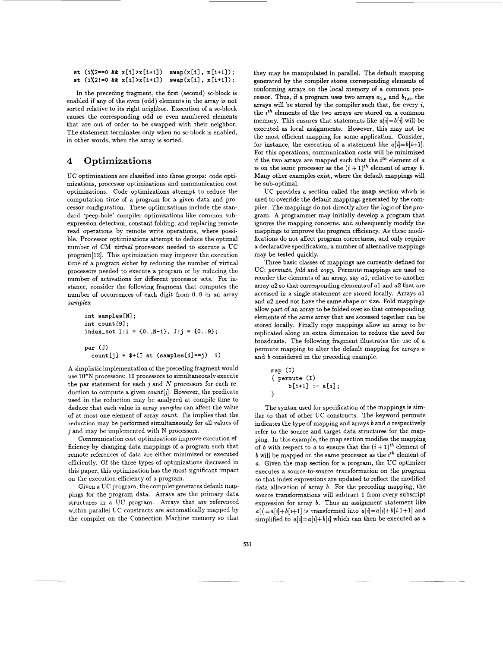```
st (i2 == 0 & x & x[i] > x[i+1]) swap(x[i], x[i+1]);st (i\frac{1}{2} = 0 \& x[i] > x[i+1]) swap(x[i], x[i+1]);
```
In the preceding fragment, the first (second) sc-block is enabled if any of the even (odd) elements in the array is not sorted relative to its right neighbor. Execution of a sc-block causes the corresponding odd or even numbered elements that are out of order to be swapped with their neighbor. The statement terminates only when no sc-block is enabled, in other words, when the array is sorted.

# **4 Optimizations**

UC optimizations are classified into three groups: code optimizations, processor optimizations and communication cost optimizations. Code optimizations attempt to reduce the computation time of a program for a given data and processor configuration. These optimizations include the standard 'peep-hole' compiler optimizations like common subexpression detection, constant folding, and replacing remote read operations by remote write operations, where possible. Processor optimizations attempt to deduce the optimal number of CM *virtual* processors needed to execute a UC program[l2]. This optimization may improve the execution time of a program either by reducing the number of virtual processors needed to execute a program or by reducing the number of activations for different processor sets. For instance, consider the following fragment that computes the number of occurrences of each digit from 0..9 in an array *samples:* 

```
int samples [NI ; 
int count [9];
index-set I:i = {O..N-l), J:j = {0..9); 
par (J) 
  count[j] = $+(I \text{ st } (samples[i] == j) 1)
```
A simplistic implementation of the preceding fragment would use *10\*N* processors: 10 processors to simultaneously execute the par statement for each *j* and *N* processors for each reduction to compute a given *count[jl.* However, the predicate used in the reduction may be analyzed at compile-time to deduce that each value in array *samples* can affect the value of at most one element of array *count.* Tis implies that the reduction may be performed simultaneously for all values of j and may be implemented with *N* processors.

Communication cost optimizations improve execution efficiency by changing data mappings of a program such that remote references of data are either minimized or executed efficiently. Of the three types of optimizations discussed in this paper, this optimization has the most significant impact on the execution efficiency of a program.

Given a UC program, the compiler generates default mappings for the program data. Arrays are the primary data structures in a UC program. Arrays that are referenced within parallel UC constructs are automatically mapped by the compiler on the Connection Machine memory so that they may be manipulated in parallel. The default mapping generated by the compiler stores corresponding elements of conforming arrays on the local memory of **a** common processor. Thus, if a program uses two arrays  $a_{1,n}$  and  $b_{1,n}$ , the arrays will be stored by the compiler such that, for every *i,*  the *ith* elements of the two arrays are stored on a common memory. This ensures that statements like  $a[i] = b[i]$  will be executed **as** local assignments. However, this may not be the most efficient mapping for some application. Consider, for instance, the execution of a statement like  $a[i]=b[i+1]$ . For this operations, communication costs will be minimized if the two arrays are mapped such that the *ith* element of *a*  is on the same processor as the  $(i + 1)<sup>th</sup>$  element of array *b*. Many other examples exist, where the default mappings will be sub-optimal.

UC provides a section called the **map** section which is used to override the default mappings generated by the compiler. The mappings do not directly alter the logic of the pro**gram.** A programmer may initially develop a program that ignores the mapping concerns, and subsequently modify the mappings to improve the program efficiency. **As** these modifications do not affect program correctness, and only require a declarative specification, a number of alternative mappings may be tested quickly.

Three basic classes of mappings are currently defined for UC: *permute, fold* and *copy.* Permute mappings are used to reorder the elements of an array, say *al,* relative to another array *a2* so that corresponding elements of *a1* and *a2* that are accessed in a single statement are stored locally. Arrays *a1*  and *a2* need not have the same shape or size. Fold mappings allow part of an array to be folded over so that corresponding elements of the *same* array that are accessed together can be stored locally. Finally copy mappings allow an array to be replicated along an extra dimension to reduce the need for broadcasts. The following fragment illustrates the use of a permute mapping to alter the default mapping for arrays *a*  and *b* considered in the preceding example.

**map (I)**  { **permute (1)**  > **b[i+ll** :- **a[il;** 

The syntax used for specification of the mappings is similar to that of other UC constructs. The keyword permute indicates the type of mapping and arrays *b* and *a* respectively refer to the source and target data structures for the mapping. In this example, the map section modifies the mapping of *b* with respect to *a* to ensure that the  $(i + 1)$ <sup>th</sup> element of *b* will be mapped on the same processor as the *ith* element of *a.* Given the map section for a program, the UC optimizer executes a source-to-source transformation on the program so that index expressions are updated to reflect the modified data allocation of array *b.* For the preceding mapping, the source transformations will subtract **1** from every subscript expression for array *b.* Thus an assignment statement like  $a[i] = a[i] + b[i+1]$  is transformed into  $a[i] = a[i] + b[i+1]$  and simplified to  $a[i] = a[i] + b[i]$  which can then be executed as a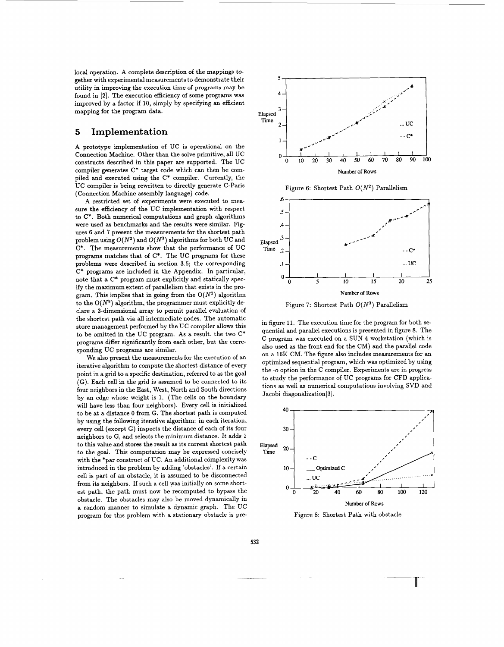local operation. A complete description of the mappings together with experimental measurements to demonstrate their utility in improving the execution time of programs may be found in **[2].** The execution efficiency of some programs was improved by a factor if 10, simply by specifying an efficient mapping for the program data.

# *5* **Implement at ion**

A prototype implementation of UC is operational on the Connection Machine. Other than the solve primitive, all UC constructs described in this paper are supported. The UC compiler generates C\* target code which can then be compiled and executed using the C\* compiler. Currently, the UC compiler is being rewritten to directly generate C-Paris (Connection Machine assembly language) code.

A restricted set of experiments were executed to measure the efficiency of the UC implementation with respect to C\*. Both numerical computations and graph algorithms were used **as** benchmarks and the results were similar. Figures 6 and 7 present the measurements for the shortest path problem using  $O(N^2)$  and  $O(N^3)$  algorithms for both UC and C\*. The measurements show that the performance of UC programs matches that of C\*. The UC programs for these problems were described in section **3.5;** the corresponding C\* programs are included in the Appendix. In particular, note that a C\* program must explicitly and statically specify the maximum extent of parallelism that exists in the program. This implies that in going from the *O(N\*)* algorithm to the  $O(N^3)$  algorithm, the programmer must explicitly declare a 3-dimensional array to permit parallel evaluation of the shortest path via all intermediate nodes. The automatic store management performed by the UC compiler allows this to be omitted in the UC program. As a result, the two C\* programs differ significantly from each other, but the corresponding UC programs are similar.

We also present the measurements for the execution of an iterative algorithm to compute the shortest distance of every point in a grid to a specific destination, referred to **as** the goal (G). Each cell in the grid is assumed to be connected to its four neighbors in the East, West, North and South directions by an edge whose weight is 1. (The cells on the boundary will have less than four neighbors). Every cell is initialized to be at a distance 0 from G. The shortest path is computed by using the following iterative algorithm: in each iteration, every cell (except G) inspects the distance of each of its four neighbors to G, and selects the minimum distance. It adds 1 to this value and stores the result as its current shortest path to the goal. This computation may be expressed concisely with the \*par construct of UC. An additional complexity was introduced in the problem by adding 'obstacles'. If a certain cell is part of an obstacle, it is assumed to be disconnected from its neighbors. If such a cell was initially on some shortest path, the path must now be recomputed to bypass the obstacle. The obstacles may also be moved dynamically in a random manner to simulate a dynamic graph. The UC program for this problem with a stationary obstacle is pre-



Figure 6: Shortest Path *O(N\*)* Parallelism



Figure 7: Shortest Path *O(N3)* Parallelism

in figure 11. The execution time for the program for both sequential and parallel executions is presented in figure 8. The C program was executed on a SUN **4** workstation (which is also used as the front end for the CM) and the parallel code on a 16K CM. The figure also includes measurements for an optimized sequential program, which was optimized by using the *-0* option in the C compiler. Experiments are in progress to study the performance of UC programs for **CFD** applications as well as numerical computations involving SVD and Jacobi diagonalization[3].



Figure 8: Shortest Path with obstacle

**532**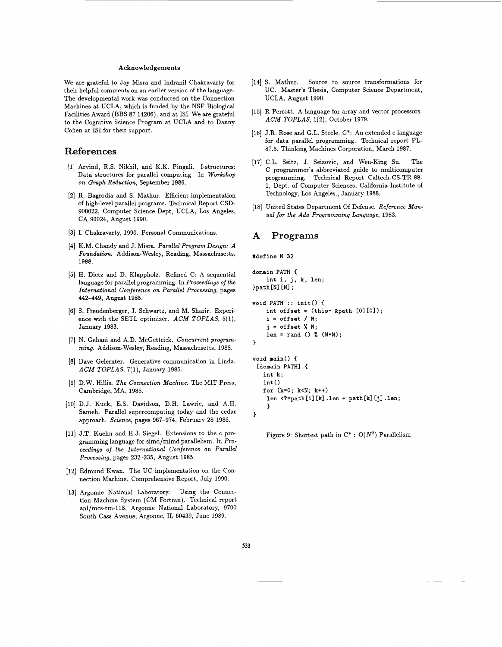#### Acknowledgements

We are grateful to Jay Misra and Indranil Chakravarty for their helpful comments on an earlier version of the language. The developmental work was conducted on the Connection Machines at UCLA, which is funded by the NSF Biological Facilities Award (BBS 87 14206), and at ISI. We are grateful to the Cognitive Science Program at UCLA and to Danny Cohen at IS1 for their support.

# **References**

- (11 Arvind, R.S. Nikhil, and K.K. Pingali. I-structures: Data structures for parallel computing. In *Workshop on Graph Reduction,* September 1986.
- [2] R. Bagrodia and S. Mathur. Efficient implementation of high-level parallel programs. Technical Report CSD-900022, Computer Science Dept, UCLA, Los Angeles, CA 90024, August 1990.
- **[3]** I. Chakravarty, 1990. Personal Communications.
- [4] K.M. Chandy and J. Misra. *Parallel Program Design: A Foundation.* Addison-Wesley, Reading, Massachusetts, **1988.**
- [5] H. Dietz and D. Klappholz. Refined C: A sequential language for parallel programming. In *Proceedings of the International Conference on Parallel Processing,* pages 442449, August 1985.
- [6] S. Freudenberger, J. Schwartz, and M. Sharir. Experience with the SETL optimizer. *ACM TOPLAS,* **5(1),**  January 1983.
- [7] N. Gehani and A.D. McGettrick. *Concurrent programming.* Addison-Wesley, Reading, Massachusetts, 1988.
- [8] Dave Gelernter. Generative communication in Linda. *ACM TOPLAS,* 7(1), January 1985.
- [9] D.W. Hillis. *The Connection Machine.* The MIT Press, Cambridge, MA, 1985.
- [10] D.J. Kuck, E.S. Davidson, D.H. Lawrie, and A.H. Sameh. Parallel supercomputing today and the cedar approach. *Science,* pages 967-974, February 28 1986.
- [11) J.T. Kuehn and H.J. Siegel. Extensions to the c programming language for simd/mimd parallelism. In *Proceedings* **of** *the International Conference on Parallel Processing,* pages 232-235, August 1985.
- [12] Edmund Kwan. The UC implementation on the Connection Machine. Comprehensive Report, July 1990.
- [13] Argonne National Laboratory. Using the Connection Machine System (CM Fortran). Technical report anl/mcs-tm-118, Argonne National Laboratory, 9700 South Cass Avenue, Argonne, IL 60439, June 1989.
- [14] S. Mathur. Source to source transformations for UC. Master's Thesis, Computer Science Department, UCLA, August 1990.
- [15] R Perrott. A language for array and vector processors. *ACM TOPLAS,* 1(2), October 1979.
- **[16]** J.R. Rose and G.L. Steele. C\*: An extended c language for data parallel programming. Technical report PL-87.5, Thinking Machines Corporation, March 1987.
- [17] C.L. Seitz, J. Seizovic, and Wen-King Su. The C programmer's abbreviated guide to multicomputer programming. Technical Report Caltech-CS-TR-88- 1, Dept. of Computer Sciences, California Institute of Technology, Los Angeles., January 1988.
- [18] United States Department Of Defense. *Reference Manual for the Ada Programming Language,* 1983.

# **A Programs**

```
#define N 32
```

```
domain PATH { 
     int i, j, k, len; 
)path [NI [NI ; 
void PATH : : init() { 
     int offset = (this- &path [0][0]);
     i = offset / N; 
     j = offset % N; 
     len = rand () % (N*N) ; 
1 
void main() { 
 [domain PATH] . { 
    int k; 
    int()
    for (k=O; k<N; k++) 
     len \langle ? = \text{path}[i][k] \ldots \rangle + \text{path}[k][j] \ldots \rangle1 
\mathcal{F}
```
Figure 9: Shortest path in  $C^*$  :  $O(N^2)$  Parallelism